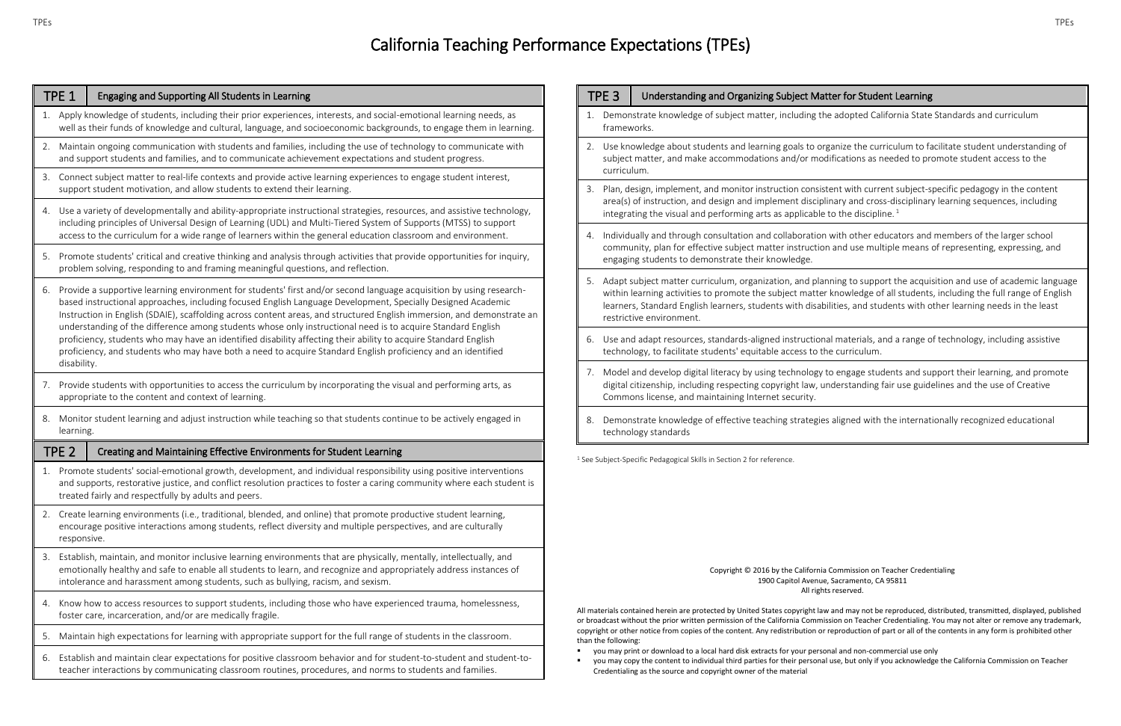## tter for Student Learning

## California Teaching Performance Expectations (TPEs)

| TPE <sub>1</sub>  | Engaging and Supporting All Students in Learning                                                                                                                                                                                                                                                                                                                                                                                                                                                                                                                                                                                                                                                               |  |  |
|-------------------|----------------------------------------------------------------------------------------------------------------------------------------------------------------------------------------------------------------------------------------------------------------------------------------------------------------------------------------------------------------------------------------------------------------------------------------------------------------------------------------------------------------------------------------------------------------------------------------------------------------------------------------------------------------------------------------------------------------|--|--|
| 1.                | Apply knowledge of students, including their prior experiences, interests, and social-emotional learning needs, as<br>well as their funds of knowledge and cultural, language, and socioeconomic backgrounds, to engage them in learning.                                                                                                                                                                                                                                                                                                                                                                                                                                                                      |  |  |
| 2.                | Maintain ongoing communication with students and families, including the use of technology to communicate with<br>and support students and families, and to communicate achievement expectations and student progress.                                                                                                                                                                                                                                                                                                                                                                                                                                                                                         |  |  |
| 3.                | Connect subject matter to real-life contexts and provide active learning experiences to engage student interest,<br>support student motivation, and allow students to extend their learning.                                                                                                                                                                                                                                                                                                                                                                                                                                                                                                                   |  |  |
| 4.                | Use a variety of developmentally and ability-appropriate instructional strategies, resources, and assistive technology,<br>including principles of Universal Design of Learning (UDL) and Multi-Tiered System of Supports (MTSS) to support<br>access to the curriculum for a wide range of learners within the general education classroom and environment.                                                                                                                                                                                                                                                                                                                                                   |  |  |
| 5.                | Promote students' critical and creative thinking and analysis through activities that provide opportunities for inquiry,<br>problem solving, responding to and framing meaningful questions, and reflection.                                                                                                                                                                                                                                                                                                                                                                                                                                                                                                   |  |  |
| 6.<br>disability. | Provide a supportive learning environment for students' first and/or second language acquisition by using research-<br>based instructional approaches, including focused English Language Development, Specially Designed Academic<br>Instruction in English (SDAIE), scaffolding across content areas, and structured English immersion, and demonstrate an<br>understanding of the difference among students whose only instructional need is to acquire Standard English<br>proficiency, students who may have an identified disability affecting their ability to acquire Standard English<br>proficiency, and students who may have both a need to acquire Standard English proficiency and an identified |  |  |
| 7.                | Provide students with opportunities to access the curriculum by incorporating the visual and performing arts, as<br>appropriate to the content and context of learning.                                                                                                                                                                                                                                                                                                                                                                                                                                                                                                                                        |  |  |
| 8.                | Monitor student learning and adjust instruction while teaching so that students continue to be actively engaged in<br>learning.                                                                                                                                                                                                                                                                                                                                                                                                                                                                                                                                                                                |  |  |
| TPE <sub>2</sub>  | Creating and Maintaining Effective Environments for Student Learning                                                                                                                                                                                                                                                                                                                                                                                                                                                                                                                                                                                                                                           |  |  |
| 1.                | Promote students' social-emotional growth, development, and individual responsibility using positive interventions<br>and supports, restorative justice, and conflict resolution practices to foster a caring community where each student is<br>treated fairly and respectfully by adults and peers.                                                                                                                                                                                                                                                                                                                                                                                                          |  |  |
| 2.                | Create learning environments (i.e., traditional, blended, and online) that promote productive student learning,<br>encourage positive interactions among students, reflect diversity and multiple perspectives, and are culturally<br>responsive.                                                                                                                                                                                                                                                                                                                                                                                                                                                              |  |  |
| 3.                | Establish, maintain, and monitor inclusive learning environments that are physically, mentally, intellectually, and<br>emotionally healthy and safe to enable all students to learn, and recognize and appropriately address instances of<br>intolerance and harassment among students, such as bullying, racism, and sexism.                                                                                                                                                                                                                                                                                                                                                                                  |  |  |
| 4.                | Know how to access resources to support students, including those who have experienced trauma, homelessness,<br>foster care, incarceration, and/or are medically fragile.                                                                                                                                                                                                                                                                                                                                                                                                                                                                                                                                      |  |  |
| 5.                | Maintain high expectations for learning with appropriate support for the full range of students in the classroom.                                                                                                                                                                                                                                                                                                                                                                                                                                                                                                                                                                                              |  |  |
| 6.                | Establish and maintain clear expectations for positive classroom behavior and for student-to-student and student-to-<br>teacher interactions by communicating classroom routines, procedures, and norms to students and families.                                                                                                                                                                                                                                                                                                                                                                                                                                                                              |  |  |

| TPE <sub>3</sub> |                                                                                                                                                                                                                                                                                                                                     | Understanding and Organizing Subject Matter for Student Learning                                                                                                                                                                                                                                                                                                                              |  |  |
|------------------|-------------------------------------------------------------------------------------------------------------------------------------------------------------------------------------------------------------------------------------------------------------------------------------------------------------------------------------|-----------------------------------------------------------------------------------------------------------------------------------------------------------------------------------------------------------------------------------------------------------------------------------------------------------------------------------------------------------------------------------------------|--|--|
|                  | frameworks.                                                                                                                                                                                                                                                                                                                         | 1. Demonstrate knowledge of subject matter, including the adopted California State Standards and curriculum                                                                                                                                                                                                                                                                                   |  |  |
|                  | 2. Use knowledge about students and learning goals to organize the curriculum to facilitate student understanding c<br>subject matter, and make accommodations and/or modifications as needed to promote student access to the<br>curriculum.                                                                                       |                                                                                                                                                                                                                                                                                                                                                                                               |  |  |
| 3.               | Plan, design, implement, and monitor instruction consistent with current subject-specific pedagogy in the content<br>area(s) of instruction, and design and implement disciplinary and cross-disciplinary learning sequences, including<br>integrating the visual and performing arts as applicable to the discipline. <sup>1</sup> |                                                                                                                                                                                                                                                                                                                                                                                               |  |  |
| 4.               |                                                                                                                                                                                                                                                                                                                                     | Individually and through consultation and collaboration with other educators and members of the larger school<br>community, plan for effective subject matter instruction and use multiple means of representing, expressing, and<br>engaging students to demonstrate their knowledge.                                                                                                        |  |  |
| 5.               |                                                                                                                                                                                                                                                                                                                                     | Adapt subject matter curriculum, organization, and planning to support the acquisition and use of academic langu<br>within learning activities to promote the subject matter knowledge of all students, including the full range of Engli<br>learners, Standard English learners, students with disabilities, and students with other learning needs in the least<br>restrictive environment. |  |  |
| 6.               |                                                                                                                                                                                                                                                                                                                                     | Use and adapt resources, standards-aligned instructional materials, and a range of technology, including assistive<br>technology, to facilitate students' equitable access to the curriculum.                                                                                                                                                                                                 |  |  |
| 7.               |                                                                                                                                                                                                                                                                                                                                     | Model and develop digital literacy by using technology to engage students and support their learning, and promot<br>digital citizenship, including respecting copyright law, understanding fair use guidelines and the use of Creative<br>Commons license, and maintaining Internet security.                                                                                                 |  |  |
| 8.               |                                                                                                                                                                                                                                                                                                                                     | Demonstrate knowledge of effective teaching strategies aligned with the internationally recognized educational<br>technology standards                                                                                                                                                                                                                                                        |  |  |

 $1$  See Subject-Specific Pedagogical Skills in Section 2 for reference.

Copyright © 2016 by the California Commission on Teacher Credentialing 1900 Capitol Avenue, Sacramento, CA 95811 All rights reserved.

All materials contained herein are protected by United States copyright law and may not be reproduced, distributed, transmitted, displayed, published or broadcast without the prior written permission of the California Commission on Teacher Credentialing. You may not alter or remove any trademark, copyright or other notice from copies of the content. Any redistribution or reproduction of part or all of the contents in any form is prohibited other than the following:

- you may print or download to a local hard disk extracts for your personal and non-commercial use only
- Credentialing as the source and copyright owner of the material

you may copy the content to individual third parties for their personal use, but only if you acknowledge the California Commission on Teacher